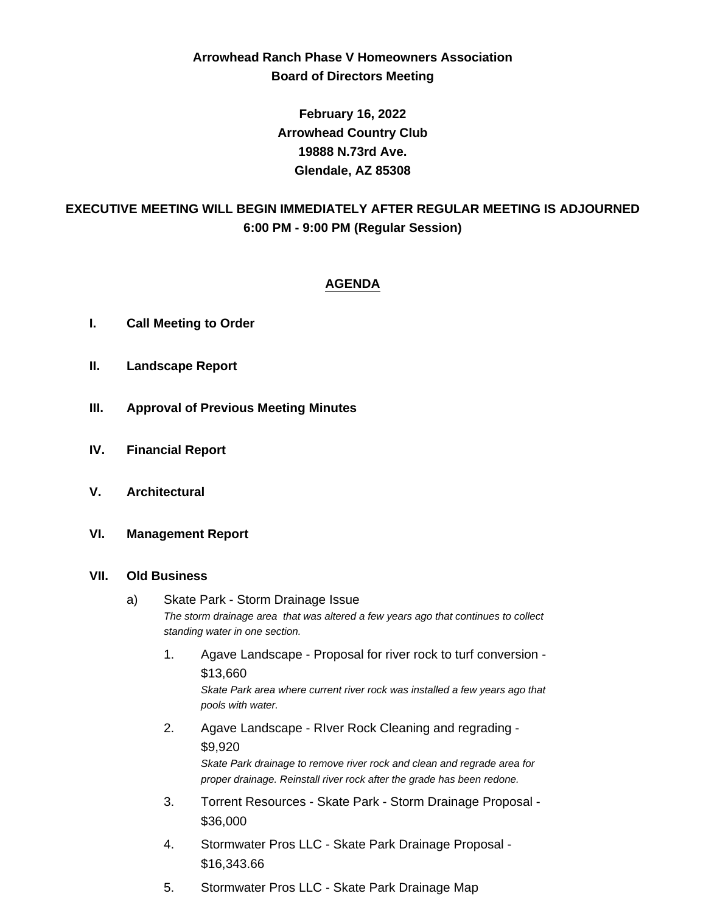# **Arrowhead Ranch Phase V Homeowners Association Board of Directors Meeting**

**February 16, 2022 Arrowhead Country Club 19888 N.73rd Ave. Glendale, AZ 85308**

# **EXECUTIVE MEETING WILL BEGIN IMMEDIATELY AFTER REGULAR MEETING IS ADJOURNED 6:00 PM - 9:00 PM (Regular Session)**

## **AGENDA**

- **I. Call Meeting to Order**
- **II. Landscape Report**
- **III. Approval of Previous Meeting Minutes**
- **IV. Financial Report**
- **V. Architectural**
- **VI. Management Report**

#### **VII. Old Business**

- a) Skate Park Storm Drainage Issue *The storm drainage area that was altered a few years ago that continues to collect standing water in one section.*
	- 1. Agave Landscape Proposal for river rock to turf conversion \$13,660 *Skate Park area where current river rock was installed a few years ago that pools with water.*
	- 2. Agave Landscape RIver Rock Cleaning and regrading \$9,920 *Skate Park drainage to remove river rock and clean and regrade area for*

*proper drainage. Reinstall river rock after the grade has been redone.*

- 3. Torrent Resources Skate Park Storm Drainage Proposal \$36,000
- 4. Stormwater Pros LLC Skate Park Drainage Proposal \$16,343.66
- 5. Stormwater Pros LLC Skate Park Drainage Map